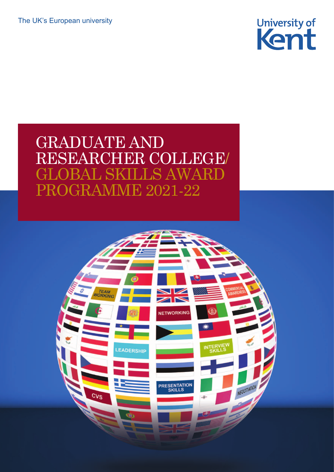The UK's European university



## GRADUATE AND RESEARCHER COLLEGE/ GLOBAL SKILLS AWARD PROGRAMME 2021-22